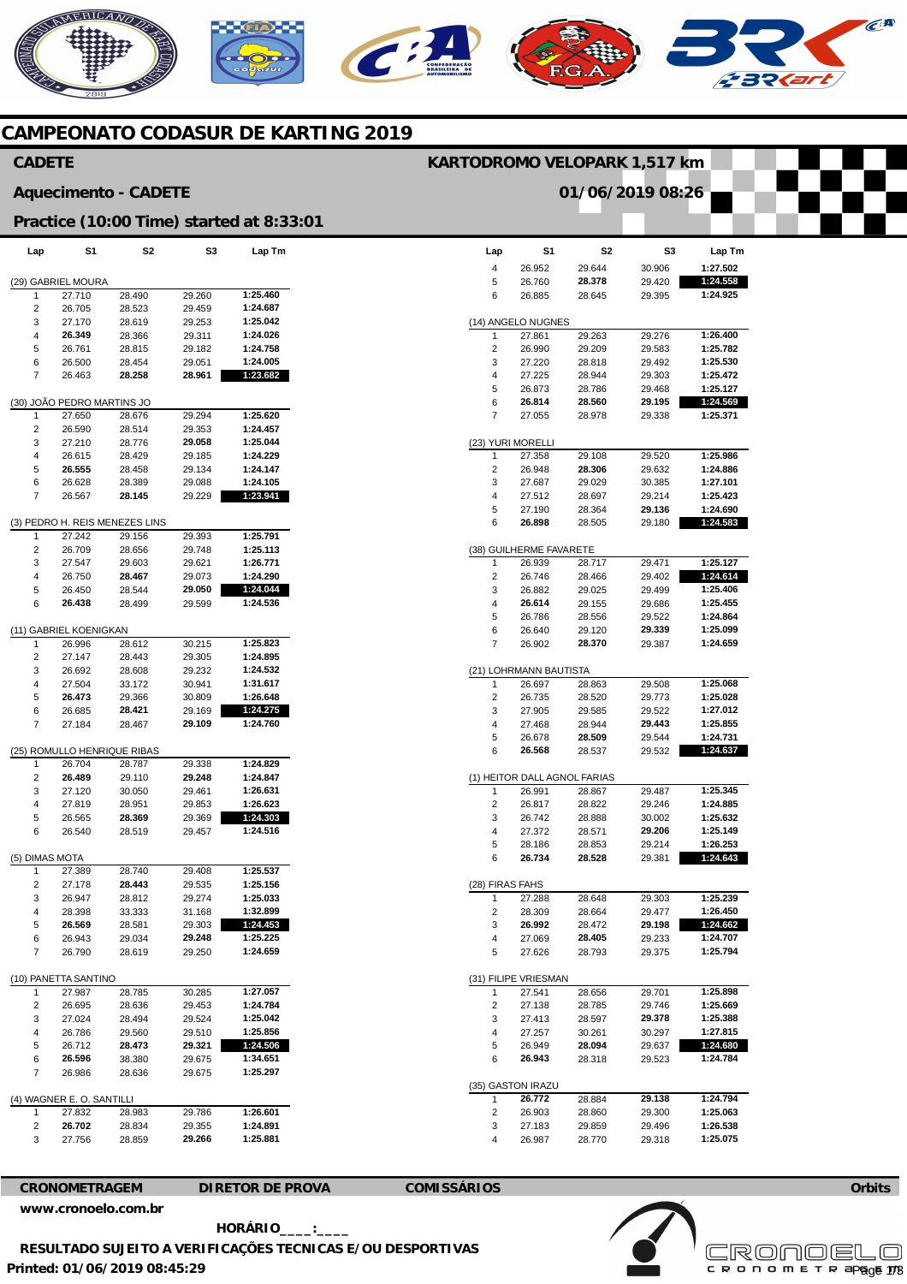# MERICANO  $\widehat{C}^{\text{A}}$

## **CAMPEONATO CODASUR DE KARTING 2019**

### **Lap**  4 5 6 (14) ANGELO NUGNES 1  $\mathcal{L}$ 3 4 5 6 7 (23) YURI MORELLI 1 2 3 4 5 6 (38) GUILHERME FAVARETE 1  $\overline{2}$ 3 4 5 6 7 (21) LOHRMANN BAUTISTA 1 2 3 4 5 6 (1) HEITOR DALL AGNOL FARIAS 1 2 3 4 5 6 (28) FIRAS FAHS 1 2 3 4 5 (31) FILIPE VRIESMAN 1 2 3 4 5 6 (35) GASTON IRAZU 1 2 3 4 **S1**  26.952 26.760 26.885 27.861 26.990 27.220 27.225 26.873 **26.814**  27.055 27.358 26.948 27.687 27.512 27.190 **26.898**  26.939 26.746 26.882 **26.614**  26.786 26.640 26.902 26.697 26.735 27.905 27.468 26.678 **26.568**  26.991 26.817 26.742 27.372 28.186 **26.734**  27.288 28.309 **26.992**  27.069 27.626 27.541 27.138 27.413 27.257 26.949 **26.943 26.772**  26.903 27.183 26.987 **S2**  29.644 **28.378**  28.645 29.263 29.209 28.818 28.944 28.786 **28.560**  28.978 29.108 **28.306**  29.029 28.697 28.364 28.505 28.717 28.466 29.025 29.155 28.556 29.120 **28.370**  28.863 28.520 29.585 28.944 **28.509**  28.537 28.867 28.822 28.888 28.571 28.853 **28.528**  28.648 28.664 28.472 **28.405**  28.793 28.656 28.785 28.597 30.261 **28.094**  28.318 28.884 28.860 29.859 28.770 **S3**  30.906 29.420 29.395 29.276 29.583 29.492 29.303 29.468 **29.195**  29.338 29.520 29.632 30.385 29.214 **29.136**  29.180 29.471 29.402 29.499 29.686 29.522 **29.339**  29.387 29.508 29.773 29.522 **29.443**  29.544 29.532 29.487 29.246 30.002 **29.206**  29.214 29.381 29.303 29.477 **29.198**  29.233 29.375 29.701 29.746 **29.378**  30.297 29.637 29.523 **29.138**  29.300 29.496 29.318 **Lap Tm 1:27.502 1:24.558 1:24.925 1:26.400 1:25.782 1:25.530 1:25.472 1:25.127 1:24.569 1:25.371 1:25.986 1:24.886 1:27.101 1:25.423 1:24.690 1:24.583 1:25.127 1:24.614 1:25.406 1:25.455 1:24.864 1:25.099 1:24.659 1:25.068 1:25.028 1:27.012 1:25.855 1:24.731 1:24.637 1:25.345 1:24.885 1:25.632 1:25.149 1:26.253 1:24.643 1:25.239 1:26.450 1:24.662 1:24.707 1:25.794 1:25.898 1:25.669 1:25.388 1:27.815 1:24.680 1:24.784 1:24.794 1:25.063 1:26.538 1:25.075 Lap**  (29) GABRIEL MOURA 1 2 3 4 5 6 7 (30) JOÃO PEDRO MARTINS JO 1  $\overline{2}$ 3 4 5 6 7 (3) PEDRO H. REIS MENEZES LINS 1  $\mathcal{L}$ 3 4 5 6 (11) GABRIEL KOENIGKAN 1  $\overline{2}$  $\overline{a}$ 4 5 6 7 (25) ROMULLO HENRIQUE RIBAS 1  $\overline{2}$ 3 4 5 6 (5) DIMAS MOTA 1  $\overline{2}$ 3 4 5 6 7 (10) PANETTA SANTINO 1 2 3 4 5 6 7 (4) WAGNER E. O. SANTILL 1 2 3 **S1**  27.710 26.705 27.170 **26.349**  26.761 26.500 26.463 27.650 26.590 27.210 26.615 **26.555**  26.628 26.567 27.242 26.709 27.547 26.750 26.450 **26.438**  26.996 27.147 26.692 27.504 **26.473**  26.685 27.184 26.704 **26.489**  27.120 27.819 26.565 26.540 27.389 27.178 26.947 28.398 **26.569**  26.943 26.790 27.987 26.695 27.024 26.786 26.712 **26.596**  26.986 27.832 **26.702**  27.756 **S2**  28.490 28.523 28.619 28.366 28.815 28.454 **28.258**  28.676 28.514 28.776 28.429 28.458 28.389 **28.145**  29.156 28.656 29.603 **28.467**  28.544 28.499 28.612 28.443 28.608 33.172 29.366 **28.421**  28.467 28.787 29.110 30.050 28.951 **28.369**  28.519 28.740 **28.443**  28.812 33.333 28.581 29.034 28.619 28.785 28.636 28.494 29.560 **28.473**  38.380 28.636 28.983 28.834 28.859 **S3**  29.260 29.459 29.253 29.311 29.182 29.051 **28.961**  29.294 29.353 **29.058**  29.185 29.134 29.088 29.229 29.393 29.748 29.621 29.073 **29.050**  29.599 30.215 29.305 29.232 30.941 30.809 29.169 **29.109**  29.338 **29.248**  29.461 29.853 29.369 29.457 29.408 29.535 29.274 31.168 29.303 **29.248**  29.250 30.285 29.453 29.524 29.510 **29.321**  29.675 29.675 29.786 29.355 **29.266 Lap Tm 1:25.460 1:24.687 1:25.042 1:24.026 1:24.758 1:24.005 1:23.682 1:25.620 1:24.457 1:25.044 1:24.229 1:24.147 1:24.105 1:23.941 1:25.791 1:25.113 1:26.771 1:24.290 1:24.044 1:24.536 1:25.823 1:24.895 1:24.532 1:31.617 1:26.648 1:24.275 1:24.760 1:24.829 1:24.847 1:26.631 1:26.623 1:24.303 1:24.516 1:25.537 1:25.156 1:25.033 1:32.899 1:24.453 1:25.225 1:24.659 1:27.057 1:24.784 1:25.042 1:25.856 1:24.506 1:34.651 1:25.297 1:26.601 1:24.891 1:25.881 CADETE Aquecimento - CADETE Practice (10:00 Time) started at 8:33:01 KARTODROMO VELOPARK 1,517 km 01/06/2019 08:26**

**CRONOMETRAGEM DIRETOR DE PROVA COMISSÁRIOS** 

**[www.cronoelo.com.br](http://www.cronoelo.com.br)** 

**Printed: 01/06/2019 08:45:29 HORÁRIO\_\_\_\_:\_\_\_\_ RESULTADO SUJEITO A VERIFICAÇÕES TECNICAS E/OU DESPORTIVAS** 



**Orbits**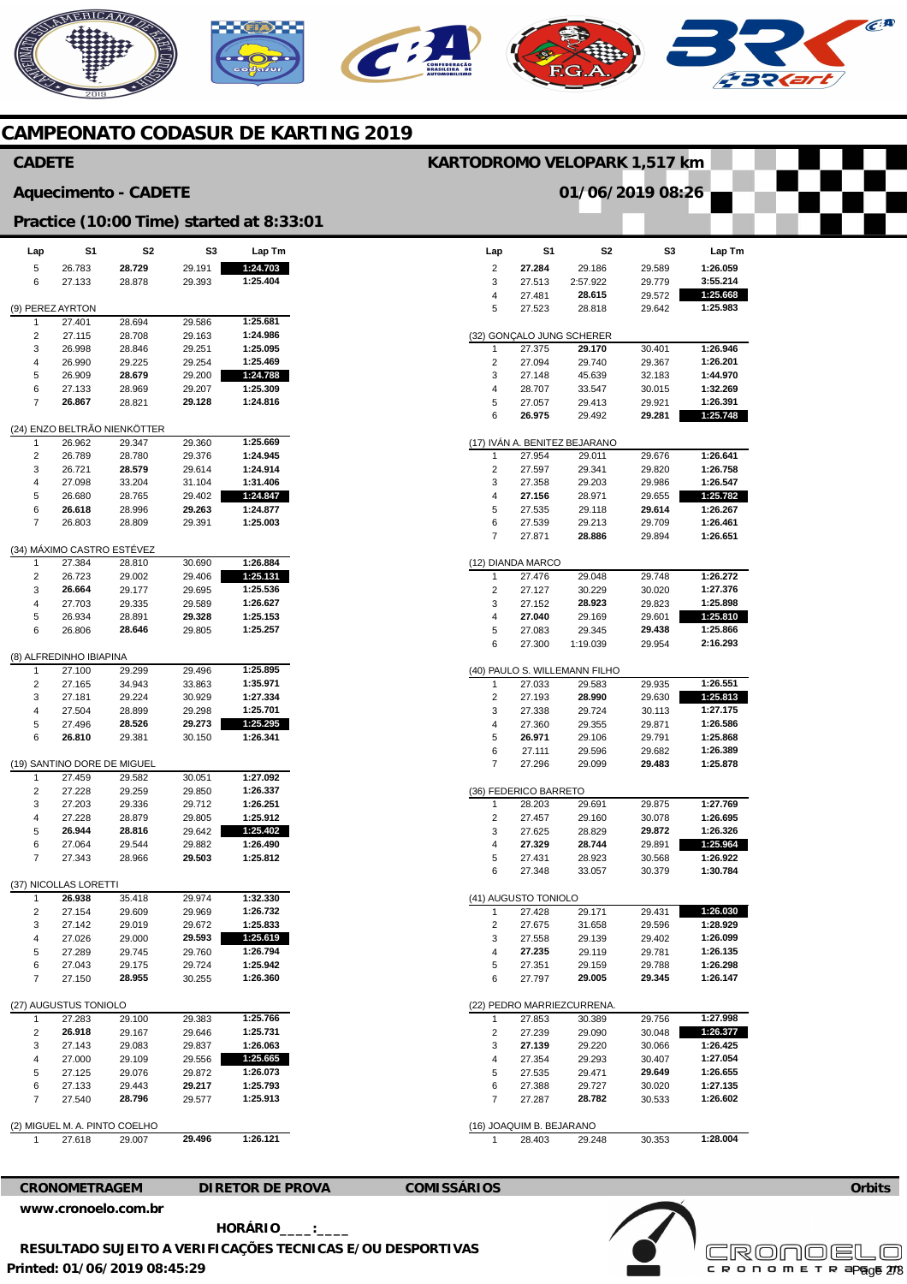# **MERICANO**  $\widehat{C}^{\text{A}}$

## **CAMPEONATO CODASUR DE KARTING 2019**

### **Lap**  2 3 4 5 (32) GONÇALO JUNG SCHERER 1  $\overline{2}$ 3 4 5 6 (17) IVÁN A. BENITEZ BEJARANO 1 2 3 4 5 6 7 (12) DIANDA MARCO 1 2 3 4 5 6 (40) PAULO S. WILLEMANN FILHO 1 2 3 4 5 6 7 (36) FEDERICO BARRETO 1  $\overline{2}$ 3 4 5 6 (41) AUGUSTO TONIOLO 1 2 3 4 5 6 (22) PEDRO MARRIEZCURRENA. 1  $\overline{2}$ 3 4 5 6 7 (16) JOAQUIM B. BEJARANO 1 **S1 27.284**  27.513 27.481 27.523 27.375 27.094 27.148 28.707 27.057 **26.975**  27.954 27.597 27.358 **27.156**  27.535 27.539 27.871 27.476 27.127 27.152 **27.040**  27.083 27.300 27.033 27.193 27.338 27.360 **26.971**  27.111 27.296 28.203 27.457 27.625 **27.329**  27.431 27.348 27.428 27.675 27.558 **27.235**  27.351 27.797 27.853 27.239 **27.139**  27.354 27.535 27.388 27.287 28.403 **S2**  29.186 2:57.922 **28.615**  28.818 **29.170**  29.740 45.639 33.547 29.413 29.492 29.011 29.341 29.203 28.971 29.118 29.213 **28.886**  29.048 30.229 **28.923**  29.169 29.345 1:19.039 29.583 **28.990**  29.724 29.355 29.106 29.596 29.099 29.691 29.160 28.829 **28.744**  28.923 33.057 29.171 31.658 29.139 29.119 29.159 **29.005**  30.389 29.090 29.220 29.293 29.471 29.727 **28.782**  29.248 **S3**  29.589 29.779 29.572 29.642 30.401 29.367 32.183 30.015 29.921 **29.281**  29.676 29.820 29.986 29.655 **29.614**  29.709 29.894 20.748 30.020 29.823 29.601 **29.438**  29.954 29.935 29.630 30.113 29.871 29.791 29.682 **29.483**  29.875 30.078 **29.872**  29.891 30.568 30.379 29.431 29.596 29.402 29.781 29.788 **29.345**  29.756 30.048 30.066 30.407 **29.649**  30.020 30.533 30.353 **Lap Tm 1:26.059 3:55.214 1:25.668 1:25.983 1:26.946 1:26.201 1:44.970 1:32.269 1:26.391 1:25.748 1:26.641 1:26.758 1:26.547 1:25.782 1:26.267 1:26.461 1:26.651 1:26.272 1:27.376 1:25.898 1:25.810 1:25.866 2:16.293 1:26.551 1:25.813 1:27.175 1:26.586 1:25.868 1:26.389 1:25.878 1:27.769 1:26.695 1:26.326 1:25.964 1:26.922 1:30.784 1:26.030 1:28.929 1:26.099 1:26.135 1:26.298 1:26.147 1:27.998 1:26.377 1:26.425 1:27.054 1:26.655 1:27.135 1:26.602 1:28.004 Lap**  5 6 (9) PEREZ AYRTON 1  $\overline{2}$ 3 4 5 6 7 (24) ENZO BELTRÃO NIENKÖTTER 1  $\overline{2}$ 3 4 5 6 7 (34) MÁXIMO CASTRO ESTÉVEZ 1  $\overline{2}$ 3 4 5 6 (8) ALFREDINHO IBIAPINA 1  $\overline{2}$ 3 4 5 6 (19) SANTINO DORE DE MIGUEL 1 2 3 4 5 6 7 (37) NICOLLAS LORETTI 1 2 3 4 5 6 7 (27) AUGUSTUS TONIOLO 1  $\overline{2}$ 3 4 5 6 7 (2) MIGUEL M. A. PINTO COELHO 1 **S1**  26.783 27.133 27.401 27.115 26.998 26.990 26.909 27.133 **26.867**  26.962 26.789 26.721 27.098 26.680 **26.618**  26.803 27.384 26.723 **26.664**  27.703 26.934 26.806 27.100 27.165 27.181 27.504 27.496 **26.810**  27.459 27.228 27.203 27.228 **26.944**  27.064 27.343 **26.938**  27.154 27.142 27.026 27.289 27.043 27.150 27.283 **26.918**  27.143 27.000 27.125 27.133 27.540 27.618 **S2 28.729**  28.878 28.694 28.708 28.846 29.225 **28.679**  28.969 28.821 29.347 28.780 **28.579**  33.204 28.765 28.996 28.809 28.810 29.002 29.177 29.335 28.891 **28.646**  29.299 34.943 29.224 28.899 **28.526**  29.381 29.582 29.259 29.336 28.879 **28.816**  29.544 28.966 35.418 29.609 29.019 29.000 29.745 29.175 **28.955**  29.100 29.167 29.083 29.109 29.076 29.443 **28.796**  29.007 **S3**  29.191 29.393 29.586 29.163 29.251 29.254 29.200 29.207 **29.128**  29.360 29.376 29.614 31.104 29.402 **29.263**  29.391 30.690 29.406 29.695 29.589 **29.328**  29.805 29.496 33.863 30.929 29.298 **29.273**  30.150 30.051 29.850 29.712 29.805 29.642 29.882 **29.503**  29.974 29.969 29.672 **29.593**  29.760 29.724 30.255 29.383 29.646 29.837 29.556 29.872 **29.217**  29.577 **29.496 Lap Tm 1:24.703 1:25.404 1:25.681 1:24.986 1:25.095 1:25.469 1:24.788 1:25.309 1:24.816 1:25.669 1:24.945 1:24.914 1:31.406 1:24.847 1:24.877 1:25.003 1:26.884 1:25.131 1:25.536 1:26.627 1:25.153 1:25.257 1:25.895 1:35.971 1:27.334 1:25.701 1:25.295 1:26.341 1:27.092 1:26.337 1:26.251 1:25.912 1:25.402 1:26.490 1:25.812 1:32.330 1:26.732 1:25.833 1:25.619 1:26.794 1:25.942 1:26.360 1:25.766 1:25.731 1:26.063 1:25.665 1:26.073 1:25.793 1:25.913 1:26.121 CADETE Aquecimento - CADETE Practice (10:00 Time) started at 8:33:01 KARTODROMO VELOPARK 1,517 km 01/06/2019 08:26**

**CRONOMETRAGEM DIRETOR DE PROVA COMISSÁRIOS** 

**[www.cronoelo.com.br](http://www.cronoelo.com.br)** 

**Printed: 01/06/2019 08:45:29 HORÁRIO\_\_\_\_:\_\_\_\_ RESULTADO SUJEITO A VERIFICAÇÕES TECNICAS E/OU DESPORTIVAS** 



**Orbits**